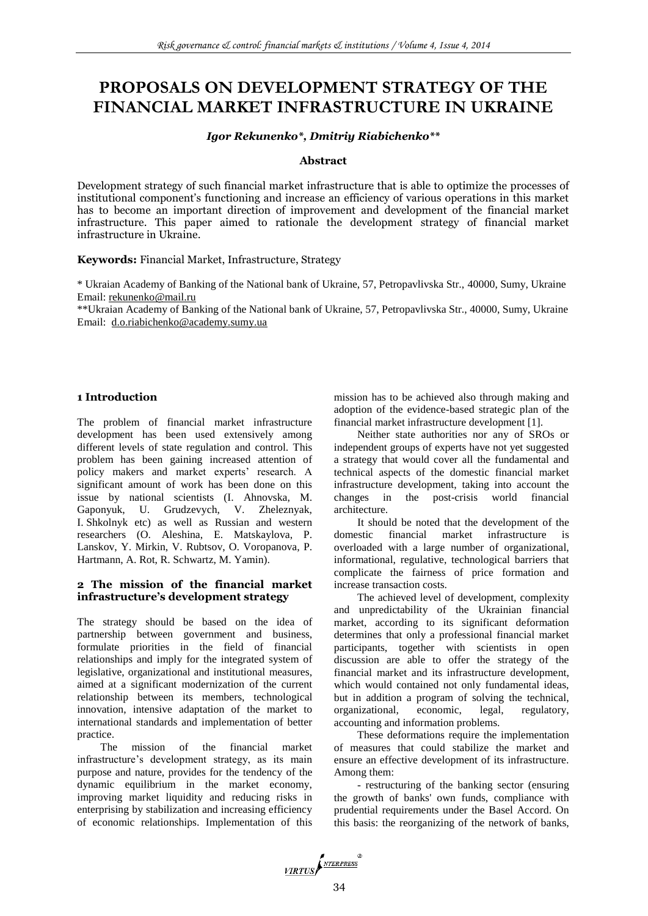# **PROPOSALS ON DEVELOPMENT STRATEGY OF THE FINANCIAL MARKET INFRASTRUCTURE IN UKRAINE**

### *Igor Rekunenko\*, Dmitriy Riabichenko\*\**

#### **Abstract**

Development strategy of such financial market infrastructure that is able to optimize the processes of institutional component's functioning and increase an efficiency of various operations in this market has to become an important direction of improvement and development of the financial market infrastructure. This paper aimed to rationale the development strategy of financial market infrastructure in Ukraine.

#### **Keywords:** Financial Market, Infrastructure, Strategy

\* Ukraian Academy of Banking of the National bank of Ukraine, 57, Petropavlivska Str., 40000, Sumy, Ukraine Email: [rekunenko@mail.ru](mailto:rekunenko@mail.ru)

\*\*Ukraian Academy of Banking of the National bank of Ukraine, 57, Petropavlivska Str., 40000, Sumy, Ukraine Email: d.o.riabichenko@academy.sumy.ua

#### **1 Introduction**

The problem of financial market infrastructure development has been used extensively among different levels of state regulation and control. This problem has been gaining increased attention of policy makers and market experts' research. A significant amount of work has been done on this issue by national scientists (I. Ahnovska, M. Gaponyuk, U. Grudzevych, V. Zheleznyak, I. Shkolnyk etc) as well as Russian and western researchers (O. Aleshina, E. Matskaylova, P. Lanskov, Y. Mirkin, V. Rubtsov, O. Voropanova, P. Hartmann, A. Rot, R. Schwartz, M. Yamin).

#### **2 The mission of the financial market infrastructure's development strategy**

The strategy should be based on the idea of partnership between government and business, formulate priorities in the field of financial relationships and imply for the integrated system of legislative, organizational and institutional measures, aimed at a significant modernization of the current relationship between its members, technological innovation, intensive adaptation of the market to international standards and implementation of better practice.

The mission of the financial market infrastructure's development strategy, as its main purpose and nature, provides for the tendency of the dynamic equilibrium in the market economy, improving market liquidity and reducing risks in enterprising by stabilization and increasing efficiency of economic relationships. Implementation of this

mission has to be achieved also through making and adoption of the evidence-based strategic plan of the financial market infrastructure development [1].

Neither state authorities nor any of SROs or independent groups of experts have not yet suggested a strategy that would cover all the fundamental and technical aspects of the domestic financial market infrastructure development, taking into account the changes in the post-crisis world financial architecture.

It should be noted that the development of the domestic financial market infrastructure is overloaded with a large number of organizational, informational, regulative, technological barriers that complicate the fairness of price formation and increase transaction costs.

The achieved level of development, complexity and unpredictability of the Ukrainian financial market, according to its significant deformation determines that only a professional financial market participants, together with scientists in open discussion are able to offer the strategy of the financial market and its infrastructure development, which would contained not only fundamental ideas, but in addition a program of solving the technical, organizational, economic, legal, regulatory, organizational, economic, legal, regulatory, accounting and information problems.

These deformations require the implementation of measures that could stabilize the market and ensure an effective development of its infrastructure. Among them:

- restructuring of the banking sector (ensuring the growth of banks' own funds, compliance with prudential requirements under the Basel Accord. On this basis: the reorganizing of the network of banks,

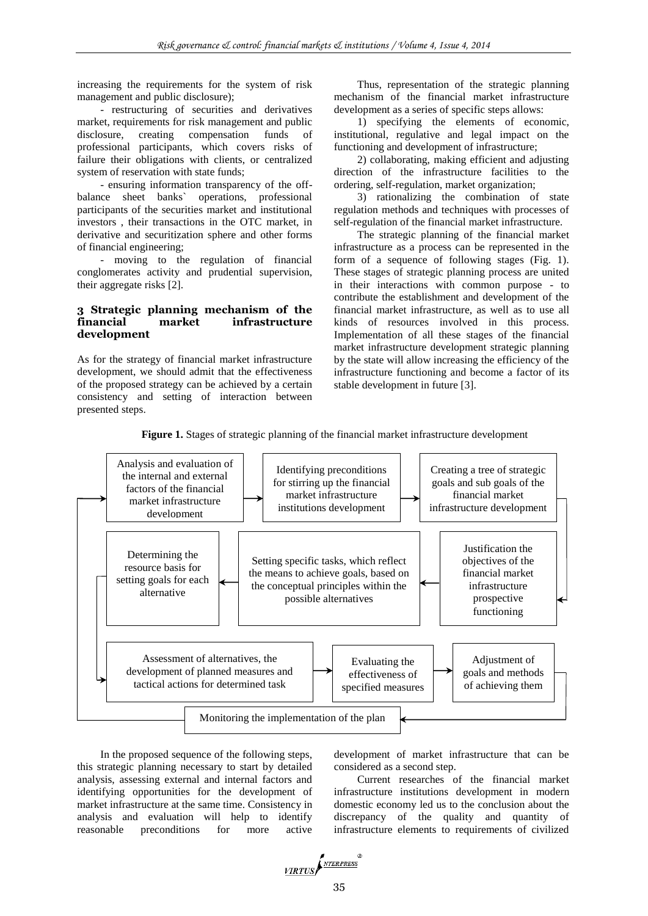increasing the requirements for the system of risk management and public disclosure);

- restructuring of securities and derivatives market, requirements for risk management and public disclosure, creating compensation funds of professional participants, which covers risks of failure their obligations with clients, or centralized system of reservation with state funds;

- ensuring information transparency of the off-<br>balance sheet banks` operations, professional operations, professional participants of the securities market and institutional investors , their transactions in the OTC market, in derivative and securitization sphere and other forms of financial engineering;

- moving to the regulation of financial conglomerates activity and prudential supervision, their aggregate risks [2].

#### **3 Strategic planning mechanism of the financial market infrastructure development**

As for the strategy of financial market infrastructure development, we should admit that the effectiveness of the proposed strategy can be achieved by a certain consistency and setting of interaction between presented steps.

> setting goals for each alternative

Thus, representation of the strategic planning mechanism of the financial market infrastructure development as a series of specific steps allows:

1) specifying the elements of economic, institutional, regulative and legal impact on the functioning and development of infrastructure;

2) collaborating, making efficient and adjusting direction of the infrastructure facilities to the ordering, self-regulation, market organization;

3) rationalizing the combination of state regulation methods and techniques with processes of self-regulation of the financial market infrastructure.

The strategic planning of the financial market infrastructure as a process can be represented in the form of a sequence of following stages (Fig. 1). These stages of strategic planning process are united in their interactions with common purpose - to contribute the establishment and development of the financial market infrastructure, as well as to use all kinds of resources involved in this process. Implementation of all these stages of the financial market infrastructure development strategic planning by the state will allow increasing the efficiency of the infrastructure functioning and become a factor of its stable development in future [3].



the conceptual principles within the possible alternatives

> Evaluating the effectiveness of specified measures

**Figure 1.** Stages of strategic planning of the financial market infrastructure development

In the proposed sequence of the following steps, this strategic planning necessary to start by detailed analysis, assessing external and internal factors and identifying opportunities for the development of market infrastructure at the same time. Consistency in analysis and evaluation will help to identify reasonable preconditions for more active

Assessment of alternatives, the development of planned measures and tactical actions for determined task

> development of market infrastructure that can be considered as a second step.

infrastructure prospective functioning

Adjustment of goals and methods of achieving them

Current researches of the financial market infrastructure institutions development in modern domestic economy led us to the conclusion about the discrepancy of the quality and quantity of infrastructure elements to requirements of civilized



Monitoring the implementation of the plan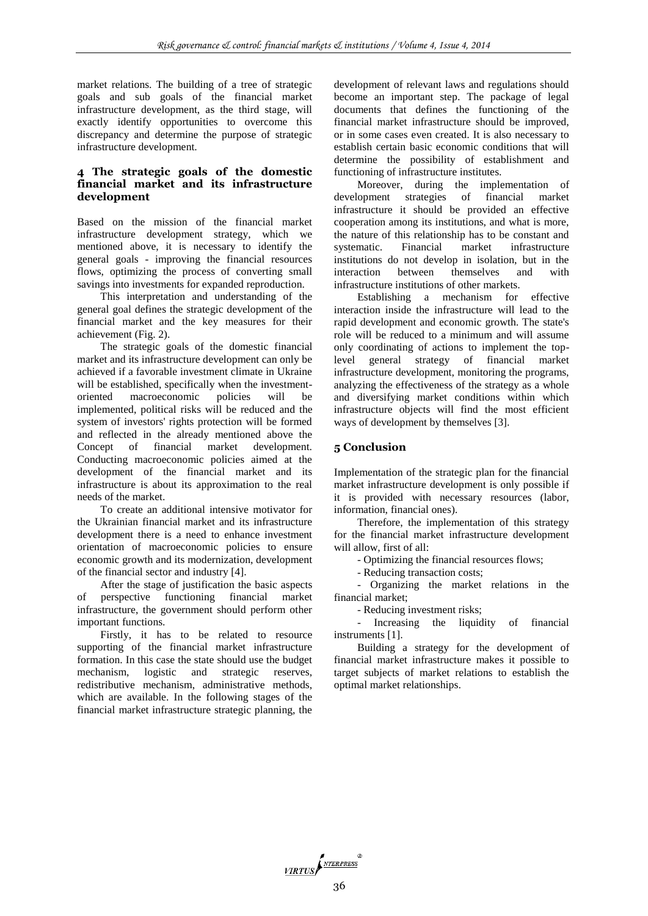market relations. The building of a tree of strategic goals and sub goals of the financial market infrastructure development, as the third stage, will exactly identify opportunities to overcome this discrepancy and determine the purpose of strategic infrastructure development.

## **4 The strategic goals of the domestic financial market and its infrastructure development**

Based on the mission of the financial market infrastructure development strategy, which we mentioned above, it is necessary to identify the general goals - improving the financial resources flows, optimizing the process of converting small savings into investments for expanded reproduction.

This interpretation and understanding of the general goal defines the strategic development of the financial market and the key measures for their achievement (Fig. 2).

The strategic goals of the domestic financial market and its infrastructure development can only be achieved if a favorable investment climate in Ukraine will be established, specifically when the investmentoriented macroeconomic policies will be implemented, political risks will be reduced and the system of investors' rights protection will be formed and reflected in the already mentioned above the Concept of financial market development. Conducting macroeconomic policies aimed at the development of the financial market and its infrastructure is about its approximation to the real needs of the market.

To create an additional intensive motivator for the Ukrainian financial market and its infrastructure development there is a need to enhance investment orientation of macroeconomic policies to ensure economic growth and its modernization, development of the financial sector and industry [4].

After the stage of justification the basic aspects of perspective functioning financial market infrastructure, the government should perform other important functions.

Firstly, it has to be related to resource supporting of the financial market infrastructure formation. In this case the state should use the budget mechanism, logistic and strategic reserves, redistributive mechanism, administrative methods, which are available. In the following stages of the financial market infrastructure strategic planning, the development of relevant laws and regulations should become an important step. The package of legal documents that defines the functioning of the financial market infrastructure should be improved, or in some cases even created. It is also necessary to establish certain basic economic conditions that will determine the possibility of establishment and functioning of infrastructure institutes.

Moreover, during the implementation of development strategies of financial market infrastructure it should be provided an effective cooperation among its institutions, and what is more, the nature of this relationship has to be constant and systematic. Financial market infrastructure institutions do not develop in isolation, but in the interaction between themselves and with infrastructure institutions of other markets.

Establishing a mechanism for effective interaction inside the infrastructure will lead to the rapid development and economic growth. The state's role will be reduced to a minimum and will assume only coordinating of actions to implement the toplevel general strategy of financial market infrastructure development, monitoring the programs, analyzing the effectiveness of the strategy as a whole and diversifying market conditions within which infrastructure objects will find the most efficient ways of development by themselves [3].

# **5 Conclusion**

Implementation of the strategic plan for the financial market infrastructure development is only possible if it is provided with necessary resources (labor, information, financial ones).

Therefore, the implementation of this strategy for the financial market infrastructure development will allow, first of all:

- Optimizing the financial resources flows;

- Reducing transaction costs;

- Organizing the market relations in the financial market;

- Reducing investment risks;

- Increasing the liquidity of financial instruments [1].

Building a strategy for the development of financial market infrastructure makes it possible to target subjects of market relations to establish the optimal market relationships.

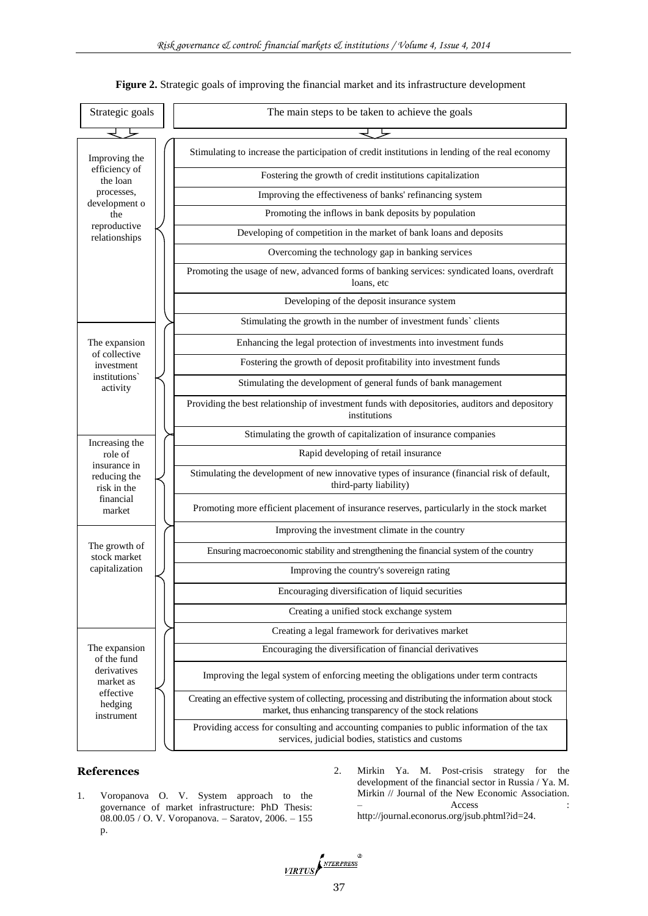

#### **Figure 2.** Strategic goals of improving the financial market and its infrastructure development

#### **References**

- 1. Voropanova O. V. System approach to the governance of market infrastructure: PhD Thesis: 08.00.05 / O. V. Voropanova. – Saratov, 2006. – 155 p.
- 2. Mirkin Ya. M. Post-crisis strategy for the development of the financial sector in Russia / Ya. M. Mirkin // Journal of the New Economic Association. – Access : http://journal.econorus.org/jsub.phtml?id=24.

VIRTUS NTERPRESS